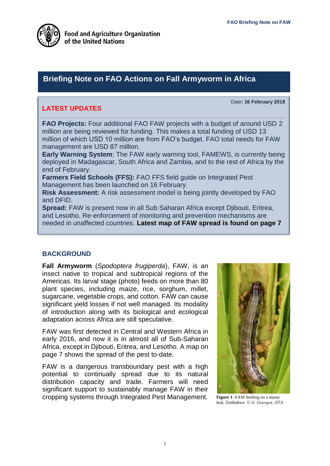Date**: 16 February 2018**



## **Briefing Note on FAO Actions on Fall Armyworm in Africa**

### **LATEST UPDATES**

**FAO Projects:** Four additional FAO FAW projects with a budget of around USD 2 million are being reviewed for funding. This makes a total funding of USD 13 million of which USD 10 million are from FAO's budget. FAO total needs for FAW management are USD 87 million.

**Early Warning System**: The FAW early warning tool, FAMEWS, is currently being deployed in Madagascar, South Africa and Zambia, and to the rest of Africa by the end of February.

**Farmers Field Schools (FFS):** FAO FFS field guide on Integrated Pest Management has been launched on 16 February.

**Risk Assessment:** A risk assessment model is being jointly developed by FAO and DFID.

**Spread:** FAW is present now in all Sub Saharan Africa except Djibouti, Eritrea, and Lesotho. Re-enforcement of monitoring and prevention mechanisms are needed in unaffected countries. **Latest map of FAW spread is found on page 7**

#### **BACKGROUND**

**Fall Armyworm** (*Spodoptera frugiperda*), FAW, is an insect native to tropical and subtropical regions of the Americas. Its larval stage (photo) feeds on more than 80 plant species, including maize, rice, sorghum, millet, sugarcane, vegetable crops, and cotton. FAW can cause significant yield losses if not well managed. Its modality of introduction along with its biological and ecological adaptation across Africa are still speculative.

FAW was first detected in Central and Western Africa in early 2016, and now it is in almost all of Sub-Saharan Africa, except in Djibouti, Eritrea, and Lesotho. A map on page 7 shows the spread of the pest to-date.

FAW is a dangerous transboundary pest with a high potential to continually spread due to its natural distribution capacity and trade. Farmers will need significant support to sustainably manage FAW in their cropping systems through Integrated Pest Management.



**Figure 1**- FAW feeding on a maize leaf, Zimbabwe. *G. Goergen, IITA*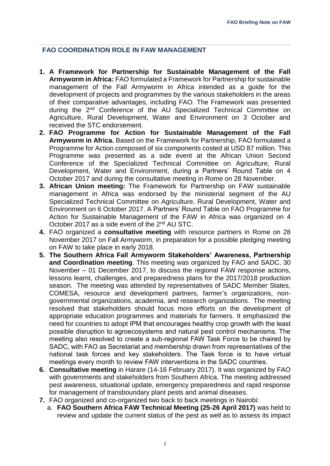#### **FAO COORDINATION ROLE IN FAW MANAGEMENT**

- **1. A Framework for Partnership for Sustainable Management of the Fall Armyworm in Africa:** FAO formulated a Framework for Partnership for sustainable management of the Fall Armyworm in Africa intended as a guide for the development of projects and programmes by the various stakeholders in the areas of their comparative advantages, including FAO. The Framework was presented during the 2<sup>nd</sup> Conference of the AU Specialized Technical Committee on Agriculture, Rural Development, Water and Environment on 3 October and received the STC endorsement.
- **2. FAO Programme for Action for Sustainable Management of the Fall Armyworm in Africa.** Based on the Framework for Partnership, FAO formulated a Programme for Action composed of six components costed at USD 87 million. This Programme was presented as a side event at the African Union Second Conference of the Specialized Technical Committee on Agriculture, Rural Development, Water and Environment, during a Partners' Round Table on 4 October 2017 and during the consultative meeting in Rome on 28 November.
- **3. African Union meeting:** The Framework for Partnership on FAW sustainable management in Africa was endorsed by the ministerial segment of the AU Specialized Technical Committee on Agriculture, Rural Development, Water and Environment on 6 October 2017. A Partners' Round Table on FAO Programme for Action for Sustainable Management of the FAW in Africa was organized on 4 October 2017 as a side event of the 2<sup>nd</sup> AU STC.
- **4.** FAO organized a **consultative meeting** with resource partners in Rome on 28 November 2017 on Fall Armyworm, in preparation for a possible pledging meeting on FAW to take place in early 2018.
- **5. The Southern Africa Fall Armyworm Stakeholders' Awareness, Partnership and Coordination meeting**. This meeting was organized by FAO and SADC, 30 November – 01 December 2017, to discuss the regional FAW response actions, lessons learnt, challenges, and preparedness plans for the 2017/2018 production season. The meeting was attended by representatives of SADC Member States, COMESA, resource and development partners, farmer's organizations, nongovernmental organizations, academia, and research organizations. The meeting resolved that stakeholders should focus more efforts on the development of appropriate education programmes and materials for farmers. It emphasized the need for countries to adopt IPM that encourages healthy crop growth with the least possible disruption to agroecosystems and natural pest control mechanisms. The meeting also resolved to create a sub-regional FAW Task Force to be chaired by SADC, with FAO as Secretariat and membership drawn from representatives of the national task forces and key stakeholders. The Task force is to have virtual meetings every month to review FAW interventions in the SADC countries.
- **6. Consultative meeting** in Harare (14-16 February 2017). It was organized by FAO with governments and stakeholders from Southern Africa. The meeting addressed pest awareness, situational update, emergency preparedness and rapid response for management of transboundary plant pests and animal diseases.
- **7.** FAO organized and co-organized two back to back meetings in Nairobi:
	- a. **FAO Southern Africa FAW Technical Meeting (25-26 April 2017)** was held to review and update the current status of the pest as well as to assess its impact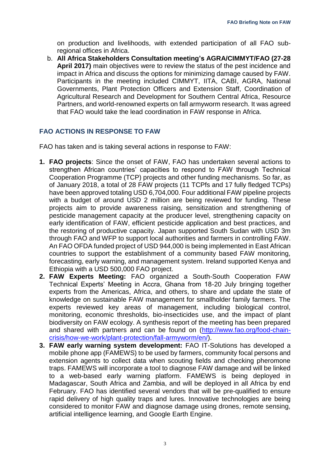on production and livelihoods, with extended participation of all FAO subregional offices in Africa.

b. **All Africa Stakeholders Consultation meeting's AGRA/CIMMYT/FAO (27-28 April 2017)** main objectives were to review the status of the pest incidence and impact in Africa and discuss the options for minimizing damage caused by FAW. Participants in the meeting included CIMMYT, IITA, CABI, AGRA, National Governments, Plant Protection Officers and Extension Staff, Coordination of Agricultural Research and Development for Southern Central Africa, Resource Partners, and world-renowned experts on fall armyworm research. It was agreed that FAO would take the lead coordination in FAW response in Africa.

#### **FAO ACTIONS IN RESPONSE TO FAW**

FAO has taken and is taking several actions in response to FAW:

- **1. FAO projects**: Since the onset of FAW, FAO has undertaken several actions to strengthen African countries' capacities to respond to FAW through Technical Cooperation Programme (TCP) projects and other funding mechanisms. So far, as of January 2018, a total of 28 FAW projects (11 TCPfs and 17 fully fledged TCPs) have been approved totaling USD 6,704,000. Four additional FAW pipeline projects with a budget of around USD 2 million are being reviewed for funding. These projects aim to provide awareness raising, sensitization and strengthening of pesticide management capacity at the producer level, strengthening capacity on early identification of FAW, efficient pesticide application and best practices, and the restoring of productive capacity. Japan supported South Sudan with USD 3m through FAO and WFP to support local authorities and farmers in controlling FAW. An FAO OFDA funded project of USD 944,000 is being implemented in East African countries to support the establishment of a community based FAW monitoring, forecasting, early warning, and management system. Ireland supported Kenya and Ethiopia with a USD 500,000 FAO project.
- **2. FAW Experts Meeting:** FAO organized a South-South Cooperation FAW Technical Experts' Meeting in Accra, Ghana from 18-20 July bringing together experts from the Americas, Africa, and others, to share and update the state of knowledge on sustainable FAW management for smallholder family farmers. The experts reviewed key areas of management, including biological control, monitoring, economic thresholds, bio-insecticides use, and the impact of plant biodiversity on FAW ecology. A synthesis report of the meeting has been prepared and shared with partners and can be found on [\(http://www.fao.org/food-chain](http://www.fao.org/food-chain-crisis/how-we-work/plant-protection/fall-armyworm/en/)[crisis/how-we-work/plant-protection/fall-armyworm/en/\)](http://www.fao.org/food-chain-crisis/how-we-work/plant-protection/fall-armyworm/en/).
- **3. FAW early warning system development:** FAO IT-Solutions has developed a mobile phone app (FAMEWS) to be used by farmers, community focal persons and extension agents to collect data when scouting fields and checking pheromone traps. FAMEWS will incorporate a tool to diagnose FAW damage and will be linked to a web-based early warning platform. FAMEWS is being deployed in Madagascar, South Africa and Zambia, and will be deployed in all Africa by end February. FAO has identified several vendors that will be pre-qualified to ensure rapid delivery of high quality traps and lures. Innovative technologies are being considered to monitor FAW and diagnose damage using drones, remote sensing, artificial intelligence learning, and Google Earth Engine.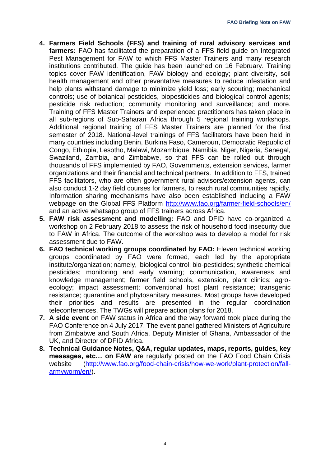- **4. Farmers Field Schools (FFS) and training of rural advisory services and farmers:** FAO has facilitated the preparation of a FFS field guide on Integrated Pest Management for FAW to which FFS Master Trainers and many research institutions contributed. The guide has been launched on 16 February. Training topics cover FAW identification, FAW biology and ecology; plant diversity, soil health management and other preventative measures to reduce infestation and help plants withstand damage to minimize yield loss; early scouting; mechanical controls; use of botanical pesticides, biopesticides and biological control agents; pesticide risk reduction; community monitoring and surveillance; and more. Training of FFS Master Trainers and experienced practitioners has taken place in all sub-regions of Sub-Saharan Africa through 5 regional training workshops. Additional regional training of FFS Master Trainers are planned for the first semester of 2018. National-level trainings of FFS facilitators have been held in many countries including Benin, Burkina Faso, Cameroun, Democratic Republic of Congo, Ethiopia, Lesotho, Malawi, Mozambique, Namibia, Niger, Nigeria, Senegal, Swaziland, Zambia, and Zimbabwe, so that FFS can be rolled out through thousands of FFS implemented by FAO, Governments, extension services, farmer organizations and their financial and technical partners. In addition to FFS, trained FFS facilitators, who are often government rural advisors/extension agents, can also conduct 1-2 day field courses for farmers, to reach rural communities rapidly. Information sharing mechanisms have also been established including a FAW webpage on the Global FFS Platform<http://www.fao.org/farmer-field-schools/en/> and an active whatsapp group of FFS trainers across Africa.
- **5. FAW risk assessment and modelling:** FAO and DFID have co-organized a workshop on 2 February 2018 to assess the risk of household food insecurity due to FAW in Africa. The outcome of the workshop was to develop a model for risk assessment due to FAW.
- **6. FAO technical working groups coordinated by FAO:** Eleven technical working groups coordinated by FAO were formed, each led by the appropriate institute/organization; namely, biological control; bio-pesticides; synthetic chemical pesticides; monitoring and early warning; communication, awareness and knowledge management; farmer field schools, extension, plant clinics; agroecology; impact assessment; conventional host plant resistance; transgenic resistance; quarantine and phytosanitary measures. Most groups have developed their priorities and results are presented in the regular coordination teleconferences. The TWGs will prepare action plans for 2018.
- **7. A side event** on FAW status in Africa and the way forward took place during the FAO Conference on 4 July 2017. The event panel gathered Ministers of Agriculture from Zimbabwe and South Africa, Deputy Minister of Ghana, Ambassador of the UK, and Director of DFID Africa.
- **8. Technical Guidance Notes, Q&A, regular updates, maps, reports, guides, key messages, etc… on FAW** are regularly posted on the FAO Food Chain Crisis website [\(http://www.fao.org/food-chain-crisis/how-we-work/plant-protection/fall](http://www.fao.org/food-chain-crisis/how-we-work/plant-protection/fall-armyworm/en/)[armyworm/en/\)](http://www.fao.org/food-chain-crisis/how-we-work/plant-protection/fall-armyworm/en/).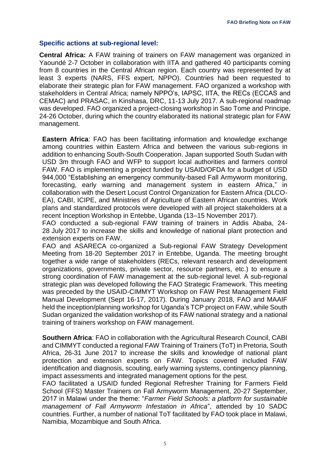#### **Specific actions at sub-regional level:**

**Central Africa:** A FAW training of trainers on FAW management was organized in Yaoundé 2-7 October in collaboration with IITA and gathered 40 participants coming from 8 countries in the Central African region. Each country was represented by at least 3 experts (NARS, FFS expert, NPPO). Countries had been requested to elaborate their strategic plan for FAW management. FAO organized a workshop with stakeholders in Central Africa; namely NPPO's, IAPSC, IITA, the RECs (ECCAS and CEMAC) and PRASAC, in Kinshasa, DRC, 11-13 July 2017. A sub-regional roadmap was developed. FAO organized a project-closing workshop in Sao Tome and Principe, 24-26 October, during which the country elaborated its national strategic plan for FAW management.

**Eastern Africa**: FAO has been facilitating information and knowledge exchange among countries within Eastern Africa and between the various sub-regions in addition to enhancing South-South Cooperation. Japan supported South Sudan with USD 3m through FAO and WFP to support local authorities and farmers control FAW. FAO is implementing a project funded by USAID/OFDA for a budget of USD 944,000 "Establishing an emergency community-based Fall Armyworm monitoring, forecasting, early warning and management system in eastern Africa," in collaboration with the Desert Locust Control Organization for Eastern Africa (DLCO-EA), CABI, ICIPE, and Ministries of Agriculture of Eastern African countries. Work plans and standardized protocols were developed with all project stakeholders at a recent Inception Workshop in Entebbe, Uganda (13–15 November 2017).

FAO conducted a sub-regional FAW training of trainers in Addis Ababa, 24- 28 July 2017 to increase the skills and knowledge of national plant protection and extension experts on FAW.

FAO and ASARECA co-organized a Sub-regional FAW Strategy Development Meeting from 18-20 September 2017 in Entebbe, Uganda. The meeting brought together a wide range of stakeholders (RECs, relevant research and development organizations, governments, private sector, resource partners, etc.) to ensure a strong coordination of FAW management at the sub-regional level. A sub-regional strategic plan was developed following the FAO Strategic Framework. This meeting was preceded by the USAID-CIMMYT Workshop on FAW Pest Management Field Manual Development (Sept 16-17, 2017). During January 2018, FAO and MAAIF held the inception/planning workshop for Uganda's TCP project on FAW, while South Sudan organized the validation workshop of its FAW national strategy and a national training of trainers workshop on FAW management.

**Southern Africa**: FAO in collaboration with the Agricultural Research Council, CABI and CIMMYT conducted a regional FAW Training of Trainers (ToT) in Pretoria, South Africa, 26-31 June 2017 to increase the skills and knowledge of national plant protection and extension experts on FAW. Topics covered included FAW identification and diagnosis, scouting, early warning systems, contingency planning, impact assessments and integrated management options for the pest.

FAO facilitated a USAID funded Regional Refresher Training for Farmers Field School (FFS) Master Trainers on Fall Armyworm Management, 20-27 September, 2017 in Malawi under the theme: "*Farmer Field Schools: a platform for sustainable management of Fall Armyworm Infestation in Africa*", attended by 10 SADC countries. Further, a number of national ToT facilitated by FAO took place in Malawi, Namibia, Mozambique and South Africa.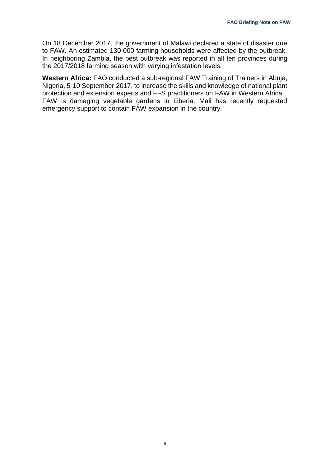On 18 December 2017, the government of Malawi declared a state of disaster due to FAW. An estimated 130 000 farming households were affected by the outbreak. In neighboring Zambia, the pest outbreak was reported in all ten provinces during the 2017/2018 farming season with varying infestation levels.

**Western Africa:** FAO conducted a sub-regional FAW Training of Trainers in Abuja, Nigeria, 5-10 September 2017, to increase the skills and knowledge of national plant protection and extension experts and FFS practitioners on FAW in Western Africa. FAW is damaging vegetable gardens in Liberia. Mali has recently requested emergency support to contain FAW expansion in the country.